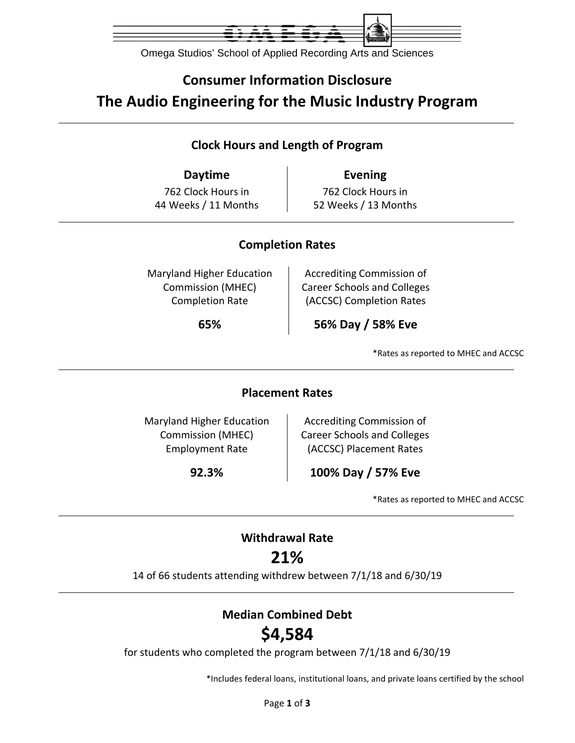

Omega Studios' School of Applied Recording Arts and Sciences

## **Consumer Information Disclosure The Audio Engineering for the Music Industry Program**

### **Clock Hours and Length of Program**

**Daytime Evening** 762 Clock Hours in 44 Weeks / 11 Months

762 Clock Hours in 52 Weeks / 13 Months

#### **Completion Rates**

Maryland Higher Education Commission (MHEC) Completion Rate

Accrediting Commission of Career Schools and Colleges (ACCSC) Completion Rates

**65% 56% Day / 58% Eve**

\*Rates as reported to MHEC and ACCSC

#### **Placement Rates**

Maryland Higher Education Commission (MHEC) Employment Rate

Accrediting Commission of Career Schools and Colleges (ACCSC) Placement Rates

**92.3% 100% Day / 57% Eve**

\*Rates as reported to MHEC and ACCSC

### **Withdrawal Rate**

### **21%**

14 of 66 students attending withdrew between 7/1/18 and 6/30/19

### **Median Combined Debt**

# **\$4,584**

for students who completed the program between 7/1/18 and 6/30/19

\*Includes federal loans, institutional loans, and private loans certified by the school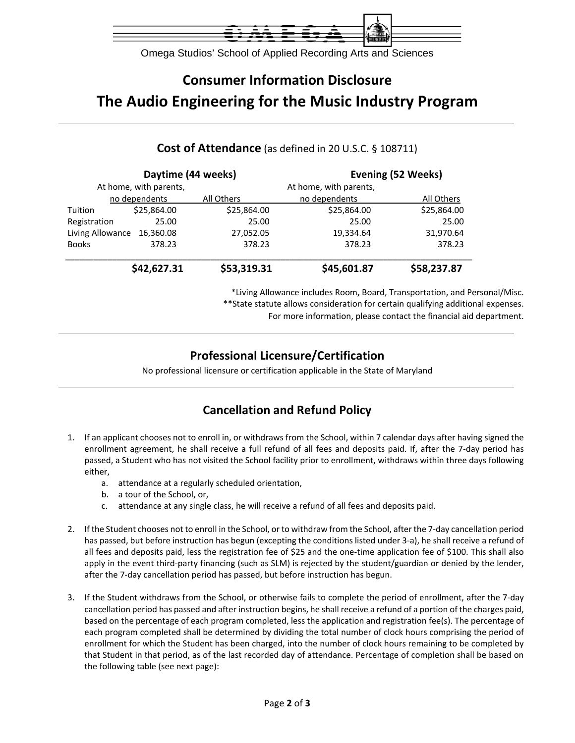

Omega Studios' School of Applied Recording Arts and Sciences

# **Consumer Information Disclosure The Audio Engineering for the Music Industry Program**

#### **Daytime (44 weeks) Evening (52 Weeks)** At home, with parents, At home, with parents, no dependents All Others no dependents All Others Tuition \$25,864.00 \$25,864.00 \$25,864.00 \$25,864.00 Registration 25.00 25.00 25.00 25.00 Living Allowance 16,360.08 27,052.05 19,334.64 31,970.64 Books 378.23 378.23 378.23 378.23 \_\_\_\_\_\_\_\_\_\_\_\_\_\_\_\_\_\_\_\_\_\_\_\_\_\_\_\_\_\_\_\_\_\_\_\_\_\_\_\_\_\_\_\_\_\_\_\_\_\_\_\_\_\_\_\_\_\_\_\_\_\_\_\_\_\_\_\_\_\_\_\_\_\_\_\_\_\_\_\_\_\_\_\_\_\_\_  **\$42,627.31 \$53,319.31 \$45,601.87 \$58,237.87**

**Cost of Attendance** (as defined in 20 U.S.C. § 108711)

\*Living Allowance includes Room, Board, Transportation, and Personal/Misc. \*\*State statute allows consideration for certain qualifying additional expenses.

For more information, please contact the financial aid department.

### **Professional Licensure/Certification**

No professional licensure or certification applicable in the State of Maryland

### **Cancellation and Refund Policy**

- 1. If an applicant chooses not to enroll in, or withdraws from the School, within 7 calendar days after having signed the enrollment agreement, he shall receive a full refund of all fees and deposits paid. If, after the 7‐day period has passed, a Student who has not visited the School facility prior to enrollment, withdraws within three days following either,
	- a. attendance at a regularly scheduled orientation,
	- b. a tour of the School, or,
	- c. attendance at any single class, he will receive a refund of all fees and deposits paid.
- 2. If the Student chooses not to enroll in the School, or to withdraw from the School, after the 7‐day cancellation period has passed, but before instruction has begun (excepting the conditions listed under 3-a), he shall receive a refund of all fees and deposits paid, less the registration fee of \$25 and the one‐time application fee of \$100. This shall also apply in the event third-party financing (such as SLM) is rejected by the student/guardian or denied by the lender, after the 7‐day cancellation period has passed, but before instruction has begun.
- 3. If the Student withdraws from the School, or otherwise fails to complete the period of enrollment, after the 7‐day cancellation period has passed and after instruction begins, he shall receive a refund of a portion of the charges paid, based on the percentage of each program completed, less the application and registration fee(s). The percentage of each program completed shall be determined by dividing the total number of clock hours comprising the period of enrollment for which the Student has been charged, into the number of clock hours remaining to be completed by that Student in that period, as of the last recorded day of attendance. Percentage of completion shall be based on the following table (see next page):